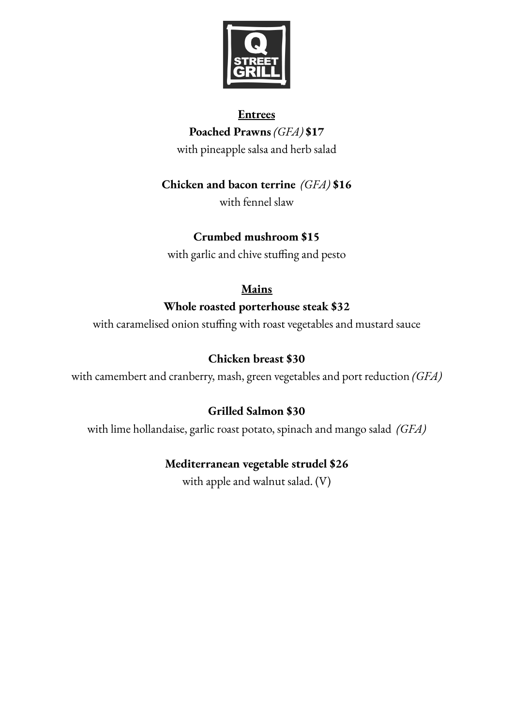

### **Entrees**

**Poached Prawns** *(GFA)* **\$17** with pineapple salsa and herb salad

### **Chicken and bacon terrine** *(GFA)* **\$16**

with fennel slaw

## **Crumbed mushroom \$15**

with garlic and chive stuffing and pesto

## **Mains**

## **Whole roasted porterhouse steak \$32**

with caramelised onion stuffing with roast vegetables and mustard sauce

# **Chicken breast \$30**

with camembert and cranberry, mash, green vegetables and port reduction *(GFA)*

## **Grilled Salmon \$30**

with lime hollandaise, garlic roast potato, spinach and mango salad *(GFA)*

## **Mediterranean vegetable strudel \$26**

with apple and walnut salad. (V)